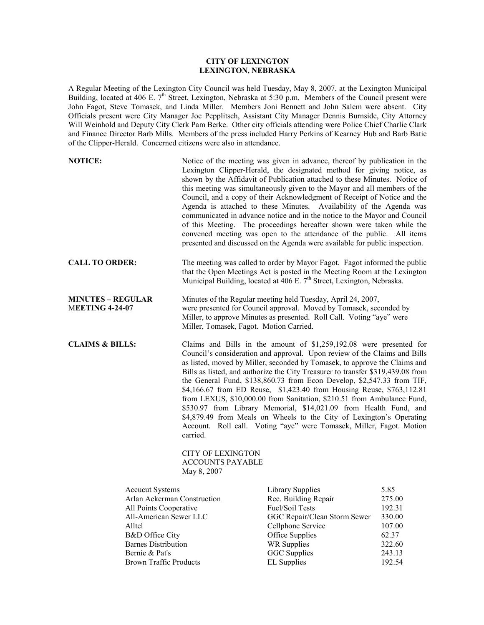## **CITY OF LEXINGTON LEXINGTON, NEBRASKA**

A Regular Meeting of the Lexington City Council was held Tuesday, May 8, 2007, at the Lexington Municipal Building, located at 406 E. 7<sup>th</sup> Street, Lexington, Nebraska at 5:30 p.m. Members of the Council present were John Fagot, Steve Tomasek, and Linda Miller. Members Joni Bennett and John Salem were absent. City Officials present were City Manager Joe Pepplitsch, Assistant City Manager Dennis Burnside, City Attorney Will Weinhold and Deputy City Clerk Pam Berke. Other city officials attending were Police Chief Charlie Clark and Finance Director Barb Mills. Members of the press included Harry Perkins of Kearney Hub and Barb Batie of the Clipper-Herald. Concerned citizens were also in attendance.

| <b>NOTICE:</b>                                                                                                                                                       |                                                                 | Notice of the meeting was given in advance, thereof by publication in the<br>Lexington Clipper-Herald, the designated method for giving notice, as<br>shown by the Affidavit of Publication attached to these Minutes. Notice of<br>this meeting was simultaneously given to the Mayor and all members of the<br>Council, and a copy of their Acknowledgment of Receipt of Notice and the<br>Agenda is attached to these Minutes. Availability of the Agenda was<br>communicated in advance notice and in the notice to the Mayor and Council<br>of this Meeting. The proceedings hereafter shown were taken while the<br>convened meeting was open to the attendance of the public. All items<br>presented and discussed on the Agenda were available for public inspection. |                                                                 |
|----------------------------------------------------------------------------------------------------------------------------------------------------------------------|-----------------------------------------------------------------|-------------------------------------------------------------------------------------------------------------------------------------------------------------------------------------------------------------------------------------------------------------------------------------------------------------------------------------------------------------------------------------------------------------------------------------------------------------------------------------------------------------------------------------------------------------------------------------------------------------------------------------------------------------------------------------------------------------------------------------------------------------------------------|-----------------------------------------------------------------|
| <b>CALL TO ORDER:</b>                                                                                                                                                |                                                                 | The meeting was called to order by Mayor Fagot. Fagot informed the public<br>that the Open Meetings Act is posted in the Meeting Room at the Lexington<br>Municipal Building, located at 406 E. 7 <sup>th</sup> Street, Lexington, Nebraska.                                                                                                                                                                                                                                                                                                                                                                                                                                                                                                                                  |                                                                 |
| <b>MINUTES - REGULAR</b><br><b>MEETING 4-24-07</b>                                                                                                                   |                                                                 | Minutes of the Regular meeting held Tuesday, April 24, 2007,<br>were presented for Council approval. Moved by Tomasek, seconded by<br>Miller, to approve Minutes as presented. Roll Call. Voting "aye" were<br>Miller, Tomasek, Fagot. Motion Carried.                                                                                                                                                                                                                                                                                                                                                                                                                                                                                                                        |                                                                 |
| <b>CLAIMS &amp; BILLS:</b>                                                                                                                                           | carried.<br><b>CITY OF LEXINGTON</b><br><b>ACCOUNTS PAYABLE</b> | Claims and Bills in the amount of \$1,259,192.08 were presented for<br>Council's consideration and approval. Upon review of the Claims and Bills<br>as listed, moved by Miller, seconded by Tomasek, to approve the Claims and<br>Bills as listed, and authorize the City Treasurer to transfer \$319,439.08 from<br>the General Fund, \$138,860.73 from Econ Develop, \$2,547.33 from TIF,<br>\$4,166.67 from ED Reuse, \$1,423.40 from Housing Reuse, \$763,112.81<br>from LEXUS, \$10,000.00 from Sanitation, \$210.51 from Ambulance Fund,<br>\$530.97 from Library Memorial, \$14,021.09 from Health Fund, and<br>\$4,879.49 from Meals on Wheels to the City of Lexington's Operating<br>Account. Roll call. Voting "aye" were Tomasek, Miller, Fagot. Motion           |                                                                 |
| <b>Accucut Systems</b><br>Arlan Ackerman Construction<br>All Points Cooperative<br>All-American Sewer LLC<br>Alltel<br>B&D Office City<br><b>Barnes Distribution</b> | May 8, 2007                                                     | <b>Library Supplies</b><br>Rec. Building Repair<br>Fuel/Soil Tests<br>GGC Repair/Clean Storm Sewer<br>Cellphone Service<br>Office Supplies<br>WR Supplies                                                                                                                                                                                                                                                                                                                                                                                                                                                                                                                                                                                                                     | 5.85<br>275.00<br>192.31<br>330.00<br>107.00<br>62.37<br>322.60 |
| Bernie & Pat's<br>Brown Traffic Products                                                                                                                             |                                                                 | <b>GGC</b> Supplies<br><b>EL Supplies</b>                                                                                                                                                                                                                                                                                                                                                                                                                                                                                                                                                                                                                                                                                                                                     | 243.13<br>192.54                                                |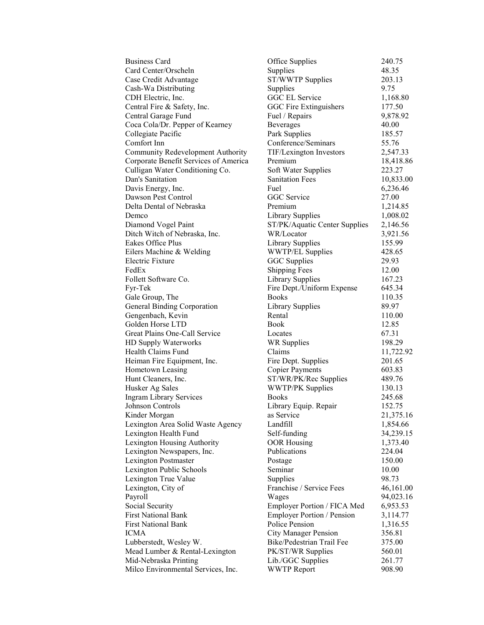| <b>Business Card</b>                  | Office Supplies                   | 240.75  |
|---------------------------------------|-----------------------------------|---------|
| Card Center/Orscheln                  | Supplies                          | 48.35   |
| Case Credit Advantage                 | ST/WWTP Supplies                  | 203.13  |
| Cash-Wa Distributing                  | Supplies                          | 9.75    |
| CDH Electric, Inc.                    | GGC EL Service                    | 1,168.8 |
| Central Fire & Safety, Inc.           | GGC Fire Extinguishers            | 177.50  |
| Central Garage Fund                   | Fuel / Repairs                    | 9,878.9 |
| Coca Cola/Dr. Pepper of Kearney       | Beverages                         | 40.00   |
| Collegiate Pacific                    | Park Supplies                     | 185.57  |
| Comfort Inn                           | Conference/Seminars               | 55.76   |
| Community Redevelopment Authority     | TIF/Lexington Investors           | 2,547.3 |
| Corporate Benefit Services of America | Premium                           | 18,418  |
| Culligan Water Conditioning Co.       | Soft Water Supplies               | 223.27  |
| Dan's Sanitation                      | <b>Sanitation Fees</b>            | 10,833  |
| Davis Energy, Inc.                    | Fuel                              | 6,236.4 |
| Dawson Pest Control                   | GGC Service                       | 27.00   |
| Delta Dental of Nebraska              | Premium                           | 1,214.8 |
| Demco                                 | <b>Library Supplies</b>           | 1,008.0 |
| Diamond Vogel Paint                   | ST/PK/Aquatic Center Supplies     | 2,146.5 |
| Ditch Witch of Nebraska, Inc.         | WR/Locator                        | 3,921.5 |
| Eakes Office Plus                     | Library Supplies                  | 155.99  |
| Eilers Machine & Welding              | <b>WWTP/EL Supplies</b>           | 428.65  |
| Electric Fixture                      | <b>GGC</b> Supplies               | 29.93   |
| FedEx                                 | <b>Shipping Fees</b>              | 12.00   |
| Follett Software Co.                  | Library Supplies                  | 167.23  |
| Fyr-Tek                               | Fire Dept./Uniform Expense        | 645.34  |
| Gale Group, The                       | <b>Books</b>                      | 110.35  |
| General Binding Corporation           | Library Supplies                  | 89.97   |
| Gengenbach, Kevin                     | Rental                            | 110.00  |
| Golden Horse LTD                      | Book                              | 12.85   |
| Great Plains One-Call Service         | Locates                           | 67.31   |
| HD Supply Waterworks                  | <b>WR Supplies</b>                | 198.29  |
| Health Claims Fund                    | Claims                            | 11,722  |
| Heiman Fire Equipment, Inc.           | Fire Dept. Supplies               | 201.65  |
| Hometown Leasing                      | <b>Copier Payments</b>            | 603.83  |
| Hunt Cleaners, Inc.                   | ST/WR/PK/Rec Supplies             | 489.76  |
| Husker Ag Sales                       | <b>WWTP/PK Supplies</b>           | 130.13  |
| <b>Ingram Library Services</b>        | <b>Books</b>                      | 245.68  |
| Johnson Controls                      | Library Equip. Repair             | 152.75  |
| Kinder Morgan                         | as Service                        | 21,375  |
| Lexington Area Solid Waste Agency     | Landfill                          | 1,854.6 |
| Lexington Health Fund                 | Self-funding                      | 34,239  |
| Lexington Housing Authority           | <b>OOR Housing</b>                | 1,373.4 |
| Lexington Newspapers, Inc.            | Publications                      | 224.04  |
| Lexington Postmaster                  | Postage                           | 150.00  |
| Lexington Public Schools              | Seminar                           | 10.00   |
| Lexington True Value                  | Supplies                          | 98.73   |
| Lexington, City of                    | Franchise / Service Fees          | 46,161  |
| Payroll                               | Wages                             | 94,023  |
| Social Security                       | Employer Portion / FICA Med       | 6,953.5 |
| <b>First National Bank</b>            | <b>Employer Portion / Pension</b> | 3,114.7 |
| <b>First National Bank</b>            | Police Pension                    | 1,316.5 |
| <b>ICMA</b>                           | <b>City Manager Pension</b>       | 356.81  |
| Lubberstedt, Wesley W.                | Bike/Pedestrian Trail Fee         | 375.00  |
| Mead Lumber & Rental-Lexington        | PK/ST/WR Supplies                 | 560.01  |
| Mid-Nebraska Printing                 | Lib./GGC Supplies                 | 261.77  |
| Milco Environmental Services, Inc.    | <b>WWTP Report</b>                | 908.90  |

| <b>Business Card</b>                  | Office Supplies                   | 240.75    |
|---------------------------------------|-----------------------------------|-----------|
| Card Center/Orscheln                  | Supplies                          | 48.35     |
| Case Credit Advantage                 | ST/WWTP Supplies                  | 203.13    |
| Cash-Wa Distributing                  | Supplies                          | 9.75      |
| CDH Electric, Inc.                    | GGC EL Service                    | 1,168.80  |
| Central Fire & Safety, Inc.           | GGC Fire Extinguishers            | 177.50    |
| Central Garage Fund                   | Fuel / Repairs                    | 9,878.92  |
| Coca Cola/Dr. Pepper of Kearney       | Beverages                         | 40.00     |
| Collegiate Pacific                    | Park Supplies                     | 185.57    |
| Comfort Inn                           | Conference/Seminars               | 55.76     |
| Community Redevelopment Authority     | TIF/Lexington Investors           | 2,547.33  |
| Corporate Benefit Services of America | Premium                           | 18,418.86 |
| Culligan Water Conditioning Co.       | Soft Water Supplies               | 223.27    |
| Dan's Sanitation                      | <b>Sanitation Fees</b>            | 10,833.00 |
| Davis Energy, Inc.                    | Fuel                              | 6,236.46  |
| Dawson Pest Control                   | GGC Service                       | 27.00     |
| Delta Dental of Nebraska              | Premium                           | 1,214.85  |
| Demco                                 | <b>Library Supplies</b>           | 1,008.02  |
| Diamond Vogel Paint                   | ST/PK/Aquatic Center Supplies     | 2,146.56  |
| Ditch Witch of Nebraska, Inc.         | WR/Locator                        | 3,921.56  |
| Eakes Office Plus                     | Library Supplies                  | 155.99    |
| Eilers Machine & Welding              | <b>WWTP/EL Supplies</b>           | 428.65    |
| Electric Fixture                      | <b>GGC</b> Supplies               | 29.93     |
| FedEx                                 | <b>Shipping Fees</b>              | 12.00     |
| Follett Software Co.                  | <b>Library Supplies</b>           | 167.23    |
| Fyr-Tek                               | Fire Dept./Uniform Expense        | 645.34    |
| Gale Group, The                       | <b>Books</b>                      | 110.35    |
| <b>General Binding Corporation</b>    | <b>Library Supplies</b>           | 89.97     |
| Gengenbach, Kevin                     | Rental                            | 110.00    |
| Golden Horse LTD                      | <b>Book</b>                       | 12.85     |
| Great Plains One-Call Service         | Locates                           | 67.31     |
| HD Supply Waterworks                  | WR Supplies                       | 198.29    |
| Health Claims Fund                    | Claims                            | 11,722.92 |
| Heiman Fire Equipment, Inc.           | Fire Dept. Supplies               | 201.65    |
| Hometown Leasing                      | <b>Copier Payments</b>            | 603.83    |
| Hunt Cleaners, Inc.                   | ST/WR/PK/Rec Supplies             | 489.76    |
| Husker Ag Sales                       | WWTP/PK Supplies                  | 130.13    |
| <b>Ingram Library Services</b>        | <b>Books</b>                      | 245.68    |
| Johnson Controls                      | Library Equip. Repair             | 152.75    |
| Kinder Morgan                         | as Service                        | 21,375.16 |
| Lexington Area Solid Waste Agency     | Landfill                          | 1,854.66  |
| Lexington Health Fund                 | Self-funding                      | 34,239.15 |
| <b>Lexington Housing Authority</b>    | <b>OOR Housing</b>                | 1,373.40  |
| Lexington Newspapers, Inc.            | Publications                      | 224.04    |
| <b>Lexington Postmaster</b>           | Postage                           | 150.00    |
| Lexington Public Schools              | Seminar                           | 10.00     |
| Lexington True Value                  | Supplies                          | 98.73     |
| Lexington, City of                    | Franchise / Service Fees          | 46,161.00 |
| Payroll                               | Wages                             | 94,023.16 |
| Social Security                       | Employer Portion / FICA Med       | 6,953.53  |
| <b>First National Bank</b>            | <b>Employer Portion / Pension</b> | 3,114.77  |
| <b>First National Bank</b>            | Police Pension                    | 1,316.55  |
| <b>ICMA</b>                           | <b>City Manager Pension</b>       | 356.81    |
| Lubberstedt, Wesley W.                | Bike/Pedestrian Trail Fee         | 375.00    |
| Mead Lumber & Rental-Lexington        | PK/ST/WR Supplies                 | 560.01    |
| Mid-Nebraska Printing                 | Lib./GGC Supplies                 | 261.77    |
| Milco Environmental Services, Inc.    | <b>WWTP Report</b>                | 908.90    |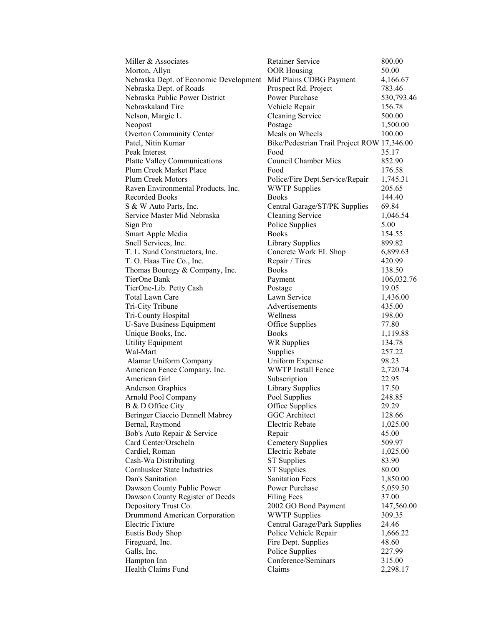| Miller & Associates                    | <b>Retainer Service</b>                     | 800.00           |
|----------------------------------------|---------------------------------------------|------------------|
| Morton, Allyn                          | <b>OOR Housing</b>                          | 50.00            |
| Nebraska Dept. of Economic Development | Mid Plains CDBG Payment                     | 4,166.67         |
| Nebraska Dept. of Roads                | Prospect Rd. Project                        | 783.46           |
| Nebraska Public Power District         | Power Purchase                              | 530,793.46       |
| Nebraskaland Tire                      | Vehicle Repair                              | 156.78           |
| Nelson, Margie L.                      | <b>Cleaning Service</b>                     | 500.00           |
| Neopost                                | Postage                                     | 1,500.00         |
| <b>Overton Community Center</b>        | Meals on Wheels                             | 100.00           |
| Patel, Nitin Kumar                     | Bike/Pedestrian Trail Project ROW 17,346.00 |                  |
| Peak Interest                          | Food                                        | 35.17            |
| <b>Platte Valley Communications</b>    | <b>Council Chamber Mics</b>                 | 852.90           |
| Plum Creek Market Place                | Food                                        | 176.58           |
| Plum Creek Motors                      | Police/Fire Dept.Service/Repair             | 1,745.31         |
| Raven Environmental Products, Inc.     | <b>WWTP</b> Supplies                        | 205.65           |
| <b>Recorded Books</b>                  | <b>Books</b>                                | 144.40           |
| S & W Auto Parts, Inc.                 | Central Garage/ST/PK Supplies               | 69.84            |
| Service Master Mid Nebraska            | <b>Cleaning Service</b>                     | 1,046.54         |
| Sign Pro                               | Police Supplies                             | 5.00             |
| Smart Apple Media                      | <b>Books</b>                                | 154.55           |
| Snell Services, Inc.                   | <b>Library Supplies</b>                     | 899.82           |
| T. L. Sund Constructors, Inc.          | Concrete Work EL Shop                       | 6,899.63         |
| T. O. Haas Tire Co., Inc.              | Repair / Tires                              | 420.99           |
| Thomas Bouregy & Company, Inc.         | <b>Books</b>                                | 138.50           |
| TierOne Bank                           | Payment                                     | 106,032.76       |
| TierOne-Lib. Petty Cash                | Postage                                     | 19.05            |
| <b>Total Lawn Care</b>                 | Lawn Service                                | 1,436.00         |
| Tri-City Tribune                       | Advertisements                              | 435.00           |
| Tri-County Hospital                    | Wellness                                    | 198.00           |
| <b>U-Save Business Equipment</b>       | Office Supplies                             | 77.80            |
| Unique Books, Inc.                     | <b>Books</b>                                | 1,119.88         |
| <b>Utility Equipment</b>               | WR Supplies                                 | 134.78           |
| Wal-Mart                               | Supplies                                    | 257.22           |
| Alamar Uniform Company                 | Uniform Expense                             | 98.23            |
| American Fence Company, Inc.           | <b>WWTP</b> Install Fence                   | 2,720.74         |
| American Girl                          | Subscription                                | 22.95            |
| <b>Anderson Graphics</b>               | <b>Library Supplies</b>                     | 17.50            |
| <b>Arnold Pool Company</b>             | Pool Supplies                               | 248.85           |
| B & D Office City                      | Office Supplies                             | 29.29            |
| Beringer Ciaccio Dennell Mabrey        | <b>GGC</b> Architect                        | 128.66           |
| Bernal, Raymond                        | Electric Rebate                             | 1,025.00         |
| Bob's Auto Repair & Service            | Repair                                      | 45.00            |
| Card Center/Orscheln                   | <b>Cemetery Supplies</b>                    | 509.97           |
| Cardiel, Roman                         | <b>Electric Rebate</b>                      | 1,025.00         |
| Cash-Wa Distributing                   | <b>ST</b> Supplies                          | 83.90            |
| <b>Cornhusker State Industries</b>     | <b>ST</b> Supplies                          | 80.00            |
| Dan's Sanitation                       | <b>Sanitation Fees</b>                      | 1,850.00         |
| Dawson County Public Power             | Power Purchase                              | 5,059.50         |
| Dawson County Register of Deeds        | <b>Filing Fees</b>                          | 37.00            |
| Depository Trust Co.                   | 2002 GO Bond Payment                        | 147,560.00       |
| Drummond American Corporation          | <b>WWTP Supplies</b>                        | 309.35           |
| <b>Electric Fixture</b>                | Central Garage/Park Supplies                | 24.46            |
| <b>Eustis Body Shop</b>                | Police Vehicle Repair                       | 1,666.22         |
| Fireguard, Inc.                        | Fire Dept. Supplies                         | 48.60            |
| Galls, Inc.<br>Hampton Inn             | Police Supplies<br>Conference/Seminars      | 227.99<br>315.00 |
| Health Claims Fund                     | Claims                                      |                  |
|                                        |                                             | 2,298.17         |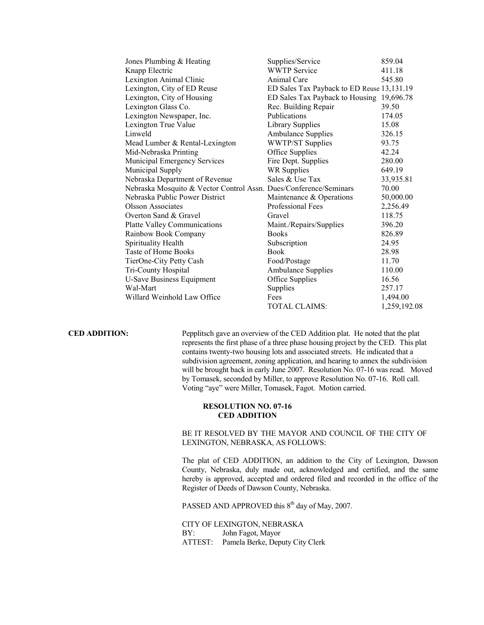| Jones Plumbing & Heating                                          | Supplies/Service                           | 859.04       |
|-------------------------------------------------------------------|--------------------------------------------|--------------|
| Knapp Electric                                                    | <b>WWTP Service</b>                        | 411.18       |
| Lexington Animal Clinic                                           | Animal Care                                | 545.80       |
| Lexington, City of ED Reuse                                       | ED Sales Tax Payback to ED Reuse 13,131.19 |              |
| Lexington, City of Housing                                        | ED Sales Tax Payback to Housing 19,696.78  |              |
| Lexington Glass Co.                                               | Rec. Building Repair                       | 39.50        |
| Lexington Newspaper, Inc.                                         | Publications                               | 174.05       |
| Lexington True Value                                              | <b>Library Supplies</b>                    | 15.08        |
| Linweld                                                           | <b>Ambulance Supplies</b>                  | 326.15       |
| Mead Lumber & Rental-Lexington                                    | <b>WWTP/ST Supplies</b>                    | 93.75        |
| Mid-Nebraska Printing                                             | Office Supplies                            | 42.24        |
| <b>Municipal Emergency Services</b>                               | Fire Dept. Supplies                        | 280.00       |
| Municipal Supply                                                  | <b>WR Supplies</b>                         | 649.19       |
| Nebraska Department of Revenue                                    | Sales & Use Tax                            | 33,935.81    |
| Nebraska Mosquito & Vector Control Assn. Dues/Conference/Seminars |                                            | 70.00        |
| Nebraska Public Power District                                    | Maintenance & Operations                   | 50,000.00    |
| <b>Olsson Associates</b>                                          | <b>Professional Fees</b>                   | 2,256.49     |
| Overton Sand & Gravel                                             | Gravel                                     | 118.75       |
| <b>Platte Valley Communications</b>                               | Maint./Repairs/Supplies                    | 396.20       |
| Rainbow Book Company                                              | <b>Books</b>                               | 826.89       |
| Spirituality Health                                               | Subscription                               | 24.95        |
| Taste of Home Books                                               | <b>Book</b>                                | 28.98        |
| TierOne-City Petty Cash                                           | Food/Postage                               | 11.70        |
| Tri-County Hospital                                               | <b>Ambulance Supplies</b>                  | 110.00       |
| <b>U-Save Business Equipment</b>                                  | Office Supplies                            | 16.56        |
| Wal-Mart                                                          | Supplies                                   | 257.17       |
| Willard Weinhold Law Office                                       | Fees                                       | 1,494.00     |
|                                                                   | <b>TOTAL CLAIMS:</b>                       | 1,259,192.08 |

**CED ADDITION:** Pepplitsch gave an overview of the CED Addition plat. He noted that the plat represents the first phase of a three phase housing project by the CED. This plat contains twenty-two housing lots and associated streets. He indicated that a subdivision agreement, zoning application, and hearing to annex the subdivision will be brought back in early June 2007. Resolution No. 07-16 was read. Moved by Tomasek, seconded by Miller, to approve Resolution No. 07-16. Roll call. Voting "aye" were Miller, Tomasek, Fagot. Motion carried.

## **RESOLUTION NO. 07-16 CED ADDITION**

## BE IT RESOLVED BY THE MAYOR AND COUNCIL OF THE CITY OF LEXINGTON, NEBRASKA, AS FOLLOWS:

The plat of CED ADDITION, an addition to the City of Lexington, Dawson County, Nebraska, duly made out, acknowledged and certified, and the same hereby is approved, accepted and ordered filed and recorded in the office of the Register of Deeds of Dawson County, Nebraska.

PASSED AND APPROVED this 8<sup>th</sup> day of May, 2007.

CITY OF LEXINGTON, NEBRASKA<br>BY: John Fagot, Mayor John Fagot, Mayor ATTEST: Pamela Berke, Deputy City Clerk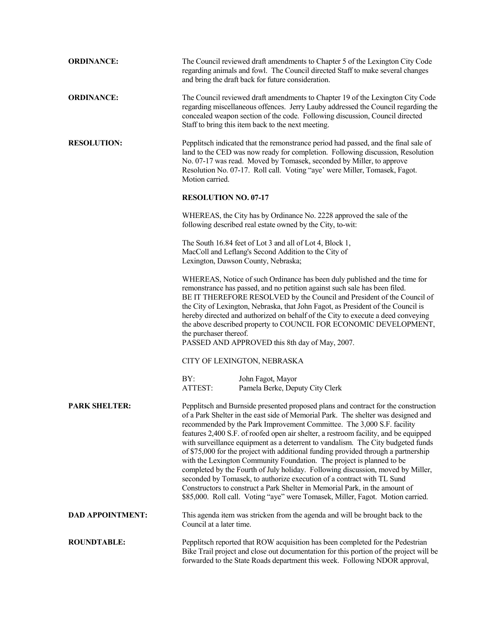| <b>ORDINANCE:</b>       | The Council reviewed draft amendments to Chapter 5 of the Lexington City Code<br>regarding animals and fowl. The Council directed Staff to make several changes<br>and bring the draft back for future consideration.                                                                                                                                                                                                                                                                                                                                                                                                                                                                                                                                                                                                                                                                                                      |                                                                                                                                                                                                                                                                                                                                                                                                                                                                                                                                    |  |
|-------------------------|----------------------------------------------------------------------------------------------------------------------------------------------------------------------------------------------------------------------------------------------------------------------------------------------------------------------------------------------------------------------------------------------------------------------------------------------------------------------------------------------------------------------------------------------------------------------------------------------------------------------------------------------------------------------------------------------------------------------------------------------------------------------------------------------------------------------------------------------------------------------------------------------------------------------------|------------------------------------------------------------------------------------------------------------------------------------------------------------------------------------------------------------------------------------------------------------------------------------------------------------------------------------------------------------------------------------------------------------------------------------------------------------------------------------------------------------------------------------|--|
| <b>ORDINANCE:</b>       |                                                                                                                                                                                                                                                                                                                                                                                                                                                                                                                                                                                                                                                                                                                                                                                                                                                                                                                            | The Council reviewed draft amendments to Chapter 19 of the Lexington City Code<br>regarding miscellaneous offences. Jerry Lauby addressed the Council regarding the<br>concealed weapon section of the code. Following discussion, Council directed<br>Staff to bring this item back to the next meeting.                                                                                                                                                                                                                          |  |
| <b>RESOLUTION:</b>      | Pepplitsch indicated that the remonstrance period had passed, and the final sale of<br>land to the CED was now ready for completion. Following discussion, Resolution<br>No. 07-17 was read. Moved by Tomasek, seconded by Miller, to approve<br>Resolution No. 07-17. Roll call. Voting "aye' were Miller, Tomasek, Fagot.<br>Motion carried.                                                                                                                                                                                                                                                                                                                                                                                                                                                                                                                                                                             |                                                                                                                                                                                                                                                                                                                                                                                                                                                                                                                                    |  |
|                         | <b>RESOLUTION NO. 07-17</b>                                                                                                                                                                                                                                                                                                                                                                                                                                                                                                                                                                                                                                                                                                                                                                                                                                                                                                |                                                                                                                                                                                                                                                                                                                                                                                                                                                                                                                                    |  |
|                         |                                                                                                                                                                                                                                                                                                                                                                                                                                                                                                                                                                                                                                                                                                                                                                                                                                                                                                                            | WHEREAS, the City has by Ordinance No. 2228 approved the sale of the<br>following described real estate owned by the City, to-wit:                                                                                                                                                                                                                                                                                                                                                                                                 |  |
|                         | The South 16.84 feet of Lot 3 and all of Lot 4, Block 1,<br>MacColl and Leflang's Second Addition to the City of<br>Lexington, Dawson County, Nebraska;                                                                                                                                                                                                                                                                                                                                                                                                                                                                                                                                                                                                                                                                                                                                                                    |                                                                                                                                                                                                                                                                                                                                                                                                                                                                                                                                    |  |
|                         | the purchaser thereof.                                                                                                                                                                                                                                                                                                                                                                                                                                                                                                                                                                                                                                                                                                                                                                                                                                                                                                     | WHEREAS, Notice of such Ordinance has been duly published and the time for<br>remonstrance has passed, and no petition against such sale has been filed.<br>BE IT THEREFORE RESOLVED by the Council and President of the Council of<br>the City of Lexington, Nebraska, that John Fagot, as President of the Council is<br>hereby directed and authorized on behalf of the City to execute a deed conveying<br>the above described property to COUNCIL FOR ECONOMIC DEVELOPMENT,<br>PASSED AND APPROVED this 8th day of May, 2007. |  |
|                         |                                                                                                                                                                                                                                                                                                                                                                                                                                                                                                                                                                                                                                                                                                                                                                                                                                                                                                                            | CITY OF LEXINGTON, NEBRASKA                                                                                                                                                                                                                                                                                                                                                                                                                                                                                                        |  |
|                         | BY:<br>ATTEST:                                                                                                                                                                                                                                                                                                                                                                                                                                                                                                                                                                                                                                                                                                                                                                                                                                                                                                             | John Fagot, Mayor<br>Pamela Berke, Deputy City Clerk                                                                                                                                                                                                                                                                                                                                                                                                                                                                               |  |
| <b>PARK SHELTER:</b>    | Pepplitsch and Burnside presented proposed plans and contract for the construction<br>of a Park Shelter in the east side of Memorial Park. The shelter was designed and<br>recommended by the Park Improvement Committee. The 3,000 S.F. facility<br>features 2,400 S.F. of roofed open air shelter, a restroom facility, and be equipped<br>with surveillance equipment as a deterrent to vandalism. The City budgeted funds<br>of \$75,000 for the project with additional funding provided through a partnership<br>with the Lexington Community Foundation. The project is planned to be<br>completed by the Fourth of July holiday. Following discussion, moved by Miller,<br>seconded by Tomasek, to authorize execution of a contract with TL Sund<br>Constructors to construct a Park Shelter in Memorial Park, in the amount of<br>\$85,000. Roll call. Voting "aye" were Tomasek, Miller, Fagot. Motion carried. |                                                                                                                                                                                                                                                                                                                                                                                                                                                                                                                                    |  |
| <b>DAD APPOINTMENT:</b> | Council at a later time.                                                                                                                                                                                                                                                                                                                                                                                                                                                                                                                                                                                                                                                                                                                                                                                                                                                                                                   | This agenda item was stricken from the agenda and will be brought back to the                                                                                                                                                                                                                                                                                                                                                                                                                                                      |  |
| <b>ROUNDTABLE:</b>      |                                                                                                                                                                                                                                                                                                                                                                                                                                                                                                                                                                                                                                                                                                                                                                                                                                                                                                                            | Pepplitsch reported that ROW acquisition has been completed for the Pedestrian<br>Bike Trail project and close out documentation for this portion of the project will be<br>forwarded to the State Roads department this week. Following NDOR approval,                                                                                                                                                                                                                                                                            |  |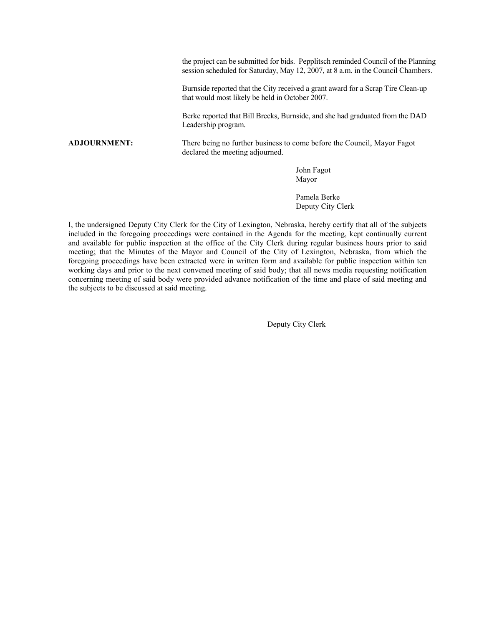the project can be submitted for bids. Pepplitsch reminded Council of the Planning session scheduled for Saturday, May 12, 2007, at 8 a.m. in the Council Chambers.

Burnside reported that the City received a grant award for a Scrap Tire Clean-up that would most likely be held in October 2007.

Berke reported that Bill Brecks, Burnside, and she had graduated from the DAD Leadership program.

**ADJOURNMENT:** There being no further business to come before the Council, Mayor Fagot declared the meeting adjourned.

> John Fagot Mayor

Pamela Berke Deputy City Clerk

I, the undersigned Deputy City Clerk for the City of Lexington, Nebraska, hereby certify that all of the subjects included in the foregoing proceedings were contained in the Agenda for the meeting, kept continually current and available for public inspection at the office of the City Clerk during regular business hours prior to said meeting; that the Minutes of the Mayor and Council of the City of Lexington, Nebraska, from which the foregoing proceedings have been extracted were in written form and available for public inspection within ten working days and prior to the next convened meeting of said body; that all news media requesting notification concerning meeting of said body were provided advance notification of the time and place of said meeting and the subjects to be discussed at said meeting.

Deputy City Clerk